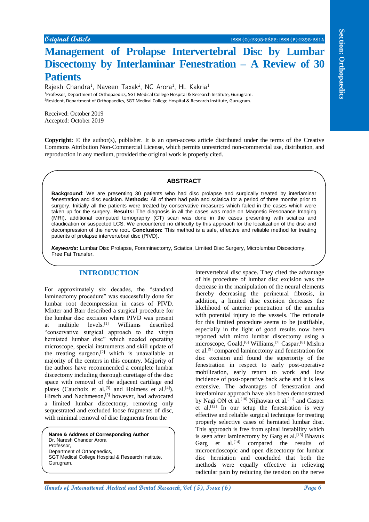# **Management of Prolapse Intervertebral Disc by Lumbar Discectomy by Interlaminar Fenestration – A Review of 30 Patients**

Rajesh Chandra<sup>1</sup>, Naveen Taxak<sup>2</sup>, NC Arora<sup>1</sup>, HL Kakria<sup>1</sup> <sup>1</sup>Professor, Department of Orthopaedics, SGT Medical College Hospital & Research Institute, Gurugram. <sup>2</sup>Resident, Department of Orthopaedics, SGT Medical College Hospital & Research Institute, Gurugram.

Received: October 2019 Accepted: October 2019

**Copyright:** © the author(s), publisher. It is an open-access article distributed under the terms of the Creative Commons Attribution Non-Commercial License, which permits unrestricted non-commercial use, distribution, and reproduction in any medium, provided the original work is properly cited.

## **ABSTRACT**

**Background**: We are presenting 30 patients who had disc prolapse and surgically treated by interlaminar fenestration and disc excision. **Methods:** All of them had pain and sciatica for a period of three months prior to surgery. Initially all the patients were treated by conservative measures which failed in the cases which were taken up for the surgery. **Results:** The diagnosis in all the cases was made on Magnetic Resonance Imaging (MRI), additional computed tomography (CT) scan was done in the cases presenting with sciatica and claudication or suspected LCS. We encountered no difficulty by this approach for the localization of the disc and decompression of the nerve root. **Conclusion:** This method is a safe, effective and reliable method for treating patients of prolapse intervertebral disc (PIVD).

*Keywords:* Lumbar Disc Prolapse, Foraminectomy, Sciatica, Limited Disc Surgery, Microlumbar Discectomy, Free Fat Transfer.

## **INTRODUCTION**

For approximately six decades, the "standard laminectomy procedure" was successfully done for lumbar root decompression in cases of PIVD. Mixter and Barr described a surgical procedure for the lumbar disc excision where PIVD was present<br>at multiple levels.<sup>[1]</sup> Williams described at multiple levels.[1] Williams described "conservative surgical approach to the virgin herniated lumbar disc" which needed operating microscope, special instruments and skill update of the treating surgeon, $[2]$  which is unavailable at majority of the centers in this country. Majority of the authors have recommended a complete lumbar discectomy including thorough curettage of the disc space with removal of the adjacent cartilage end plates (Cauchoix et al.<sup>[3]</sup> and Holmess et al.<sup>[4]</sup>). Hirsch and Nachmeson,<sup>[5]</sup> however, had advocated a limited lumbar discectomy, removing only sequestrated and excluded loose fragments of disc, with minimal removal of disc fragments from the

**Name & Address of Corresponding Author** Dr. Naresh Chander Arora **Professor** Department of Orthopaedics, SGT Medical College Hospital & Research Institute, Gurugram.

**Consumer Consumer Consumer Consumer Consumer Consumer Consumer Consumer Consumer Consumer Consumer Consumer Consumer Consumer Consumer Consumer Consumer Consumer Consumer Consumer Consumer Consumer Consumer Consumer Consu** intervertebral disc space. They cited the advantage of his procedure of lumbar disc excision was the decrease in the manipulation of the neural elements thereby decreasing the perineural fibrosis, in addition, a limited disc excision decreases the likelihood of anterior penetration of the annulus with potential injury to the vessels. The rationale for this limited procedure seems to be justifiable, especially in the light of good results now been reported with micro lumbar discectomy using a microscope, Goald,<sup>[6]</sup> Williams,<sup>[7]</sup> Caspar.<sup>[8]</sup> Mishra et al.[9] compared laminectomy and fenestration for disc excision and found the superiority of the fenestration in respect to early post-operative mobilization, early return to work and low incidence of post-operative back ache and it is less extensive. The advantages of fenestration and interlaminar approach have also been demonstrated by Nagi ON et al.<sup>[10]</sup> Nijhawan et al.<sup>[11]</sup> and Casper et al.<sup>[12]</sup> In our setup the fenestration is very effective and reliable surgical technique for treating properly selective cases of herniated lumbar disc. This approach is free from spinal instability which is seen after laminectomy by Garg et al.<sup>[13]</sup> Bhavuk Garg et al.<sup>[14]</sup> compared the results of microendoscopic and open discectomy for lumbar disc herniation and concluded that both the methods were equally effective in relieving radicular pain by reducing the tension on the nerve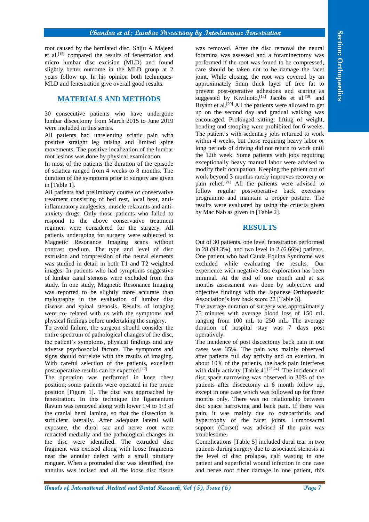## **Chandra et al; Lumbar Discectomy by Interlaminar Fenestration**

root caused by the herniated disc. Shiju A Majeed et al.[15] compared the results of fenestration and micro lumbar disc excision (MLD) and found slightly better outcome in the MLD group at 2 years follow up. In his opinion both techniques-MLD and fenestration give overall good results.

# **MATERIALS AND METHODS**

30 consecutive patients who have undergone lumbar discectomy from March 2015 to June 2019 were included in this series.

All patients had unrelenting sciatic pain with positive straight leg raising and limited spine movements. The positive localization of the lumbar root lesions was done by physical examination.

In most of the patients the duration of the episode of sciatica ranged from 4 weeks to 8 months. The duration of the symptoms prior to surgery are given in [Table 1].

All patients had preliminary course of conservative treatment consisting of bed rest, local heat, antiinflammatory analgesics, muscle relaxants and antianxiety drugs. Only those patients who failed to respond to the above conservative treatment regimen were considered for the surgery. All patients undergoing for surgery were subjected to Magnetic Resonance Imaging scans without contrast medium. The type and level of disc extrusion and compression of the neural elements was studied in detail in both T1 and T2 weighted images. In patients who had symptoms suggestive of lumbar canal stenosis were excluded from this study. In one study, Magnetic Resonance Imaging was reported to be slightly more accurate than mylography in the evaluation of lumbar disc disease and spinal stenosis. Results of imaging were co- related with us with the symptoms and physical findings before undertaking the surgery.

To avoid failure, the surgeon should consider the entire spectrum of pathological changes of the disc, the patient's symptoms, physical findings and any adverse psychosocial factors. The symptoms and signs should correlate with the results of imaging. With careful selection of the patients, excellent post-operative results can be expected.[17]

The operation was performed in knee chest position; some patients were operated in the prone position [Figure 1]. The disc was approached by fenestration. In this technique the ligamentum flavum was removed along with lower 1/4 to 1/3 of the cranial hemi lamina, so that the dissection is sufficient laterally. After adequate lateral wall exposure, the dural sac and nerve root were retracted medially and the pathological changes in the disc were identified. The extruded disc fragment was excised along with loose fragments near the annular defect with a small pituitary ronguer. When a protruded disc was identified, the annulus was incised and all the loose disc tissue

**And the most consistent of Equational Medical and the most stational stational stational medical and the most stational behavior of International Medical and The most stational and the most stational and the most station** was removed. After the disc removal the neural foramina was assessed and a foraminectomy was performed if the root was found to be compressed, care should be taken not to be damage the facet joint. While closing, the root was covered by an approximately 5mm thick layer of free fat to prevent post-operative adhesions and scaring as suggested by Kiviluoto,<sup>[18]</sup> Jacobs et al.<sup>[19]</sup> and Bryant et al.<sup>[20]</sup> All the patients were allowed to get up on the second day and gradual walking was encouraged. Prolonged sitting, lifting of weight, bending and stooping were prohibited for 6 weeks. The patient's with sedentary jobs returned to work within 4 weeks, but those requiring heavy labor or long periods of driving did not return to work until the 12th week. Some patients with jobs requiring exceptionally heavy manual labor were advised to modify their occupation. Keeping the patient out of work beyond 3 months rarely improves recovery or pain relief.[21] All the patients were advised to follow regular post-operative back exercises programme and maintain a proper posture. The results were evaluated by using the criteria given by Mac Nab as given in [Table 2].

# **RESULTS**

Out of 30 patients, one level fenestration performed in 28 (93.3%), and two level in 2 (6.66%) patients. One patient who had Cauda Equina Syndrome was excluded while evaluating the results. Our experience with negative disc exploration has been minimal. At the end of one month and at six months assessment was done by subjective and objective findings with the Japanese Orthopaedic Association's low back score 22 [Table 3].

The average duration of surgery was approximately 75 minutes with average blood loss of 150 mL ranging from 100 mL to 250 mL. The average duration of hospital stay was 7 days post operatively.

The incidence of post discectomy back pain in our cases was 35%. The pain was mainly observed after patients full day activity and on exertion, in about 10% of the patients, the back pain interferes with daily activity [Table 4]. $[23,24]$  The incidence of disc space narrowing was observed in 30% of the patients after discectomy at 6 month follow up, except in one case which was followed up for three months only. There was no relationship between disc space narrowing and back pain. If there was pain, it was mainly due to osteoarthritis and hypertrophy of the facet joints. Lumbosacral support (Corset) was advised if the pain was troublesome.

Complications [Table 5] included dural tear in two patients during surgery due to associated stenosis at the level of disc prolapse, calf wasting in one patient and superficial wound infection in one case and nerve root fiber damage in one patient, this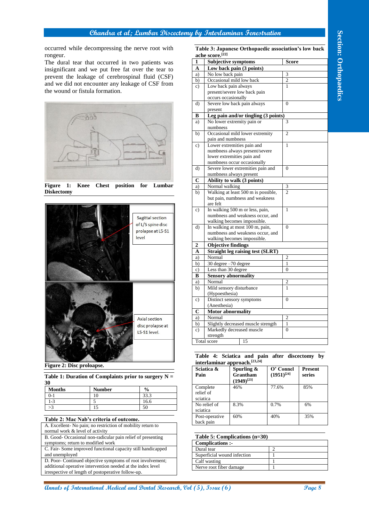

**Figure 1: Knee Chest position for Lumbar Diskectomy**



| Table 1: Duration of Complaints prior to surgery $N =$<br>-30 |               |               |               |  |  |
|---------------------------------------------------------------|---------------|---------------|---------------|--|--|
|                                                               | <b>Months</b> | <b>Number</b> | $\frac{0}{0}$ |  |  |
|                                                               | $\mid$ 0-1    | 10            | 33.3          |  |  |

| . .<br>_____  |    |             |
|---------------|----|-------------|
| 0-1           | ΙU | 222<br>33.3 |
| $\sim$<br>l-9 |    | 16.6        |
| رح            |    |             |

#### **Table 2: Mac Nab's criteria of outcome.**

- symptoms; return to modified work
- C. Fair- Some improved functional capacity still handicapped and unemployed

|                                                                                                                                                                                                                                               | occurred while decompressing the nerve root with |              | ache score.[22]                         | Table 3: Japanese Orthopaedic association's low back                |                   |                |                |
|-----------------------------------------------------------------------------------------------------------------------------------------------------------------------------------------------------------------------------------------------|--------------------------------------------------|--------------|-----------------------------------------|---------------------------------------------------------------------|-------------------|----------------|----------------|
| rongeur.                                                                                                                                                                                                                                      |                                                  | 1            |                                         | <b>Subjective symptoms</b>                                          |                   | <b>Score</b>   |                |
| The dural tear that occurred in two patients was                                                                                                                                                                                              |                                                  | A            |                                         | Low back pain (3 points)                                            |                   |                |                |
| insignificant and we put free fat over the tear to                                                                                                                                                                                            |                                                  | a)           | No low back pain                        |                                                                     |                   | 3              |                |
| prevent the leakage of cerebrospinal fluid (CSF)                                                                                                                                                                                              |                                                  | b)           |                                         | Occasional mild low back                                            |                   | $\mathfrak{2}$ |                |
| and we did not encounter any leakage of CSF from                                                                                                                                                                                              |                                                  | $\mathbf{c}$ |                                         | Low back pain always                                                |                   | $\mathbf{1}$   |                |
| the wound or fistula formation.                                                                                                                                                                                                               |                                                  |              |                                         | present/severe low back pain                                        |                   |                |                |
|                                                                                                                                                                                                                                               |                                                  | $\mathbf{d}$ | occurs occasionally                     | Severe low back pain always                                         |                   | $\Omega$       |                |
|                                                                                                                                                                                                                                               |                                                  |              | present                                 |                                                                     |                   |                |                |
|                                                                                                                                                                                                                                               |                                                  | В            |                                         | Leg pain and/or tingling (3 points)                                 |                   |                |                |
|                                                                                                                                                                                                                                               |                                                  | a)           |                                         | No lower extremity pain or                                          |                   | 3              |                |
|                                                                                                                                                                                                                                               |                                                  |              | numbness                                |                                                                     |                   |                |                |
|                                                                                                                                                                                                                                               |                                                  | b)           |                                         | Occasional mild lower extremity                                     |                   | $\overline{c}$ |                |
|                                                                                                                                                                                                                                               |                                                  | $\mathbf{c}$ | pain and numbness                       | Lower extremities pain and                                          |                   | $\mathbf{1}$   |                |
|                                                                                                                                                                                                                                               |                                                  |              |                                         | numbness always present/severe                                      |                   |                |                |
|                                                                                                                                                                                                                                               |                                                  |              |                                         | lower extremities pain and                                          |                   |                |                |
|                                                                                                                                                                                                                                               |                                                  |              |                                         | numbness occur occasionally                                         |                   |                |                |
|                                                                                                                                                                                                                                               |                                                  | d)           |                                         | Severe lower extremities pain and                                   |                   | $\Omega$       |                |
|                                                                                                                                                                                                                                               |                                                  |              |                                         | numbness always present                                             |                   |                |                |
| Figure 1:<br>Chest position for<br>Knee                                                                                                                                                                                                       | Lumbar                                           | C<br>a)      | Normal walking                          | Ability to walk (3 points)                                          |                   | 3              |                |
| <b>Diskectomy</b>                                                                                                                                                                                                                             |                                                  | b)           |                                         | Walking at least 500 m is possible,                                 |                   | $\overline{2}$ |                |
|                                                                                                                                                                                                                                               |                                                  |              |                                         | but pain, numbness and weakness                                     |                   |                |                |
|                                                                                                                                                                                                                                               |                                                  |              | are felt                                |                                                                     |                   |                |                |
|                                                                                                                                                                                                                                               |                                                  | $\mathbf{c}$ |                                         | In walking 500 m or less, pain,<br>numbness and weakness occur, and |                   | $\mathbf{1}$   |                |
|                                                                                                                                                                                                                                               | Sagittal section                                 |              |                                         | walking becomes impossible.                                         |                   |                |                |
|                                                                                                                                                                                                                                               | of L/S spine disc                                | d)           |                                         | In walking at most 100 m, pain,                                     |                   | $\Omega$       |                |
|                                                                                                                                                                                                                                               | prolapse at L5-S1                                |              |                                         | numbness and weakness occur, and                                    |                   |                |                |
|                                                                                                                                                                                                                                               | level                                            |              |                                         | walking becomes impossible.                                         |                   |                |                |
|                                                                                                                                                                                                                                               |                                                  | 2            | <b>Objective findings</b>               |                                                                     |                   |                |                |
|                                                                                                                                                                                                                                               |                                                  | A            | Normal                                  | <b>Straight leg raising test (SLRT)</b>                             |                   | $\mathfrak{2}$ |                |
|                                                                                                                                                                                                                                               |                                                  | a)<br>b)     |                                         | 30 degree -70 degree                                                |                   | $\mathbf{1}$   |                |
|                                                                                                                                                                                                                                               |                                                  | $\mathbf{c}$ | Less than 30 degree                     |                                                                     |                   | $\theta$       |                |
|                                                                                                                                                                                                                                               |                                                  | B            |                                         | <b>Sensory abnormality</b>                                          |                   |                |                |
|                                                                                                                                                                                                                                               |                                                  | a)           | Normal                                  |                                                                     |                   | $\mathfrak{2}$ |                |
|                                                                                                                                                                                                                                               |                                                  | b)           |                                         | Mild sensory disturbance                                            |                   | $\mathbf{1}$   |                |
|                                                                                                                                                                                                                                               |                                                  | c)           | (Hypoesthesia)                          | Distinct sensory symptoms                                           |                   | $\overline{0}$ |                |
|                                                                                                                                                                                                                                               |                                                  |              | (Anesthesia)                            |                                                                     |                   |                |                |
|                                                                                                                                                                                                                                               |                                                  | $\mathbf C$  |                                         | <b>Motor abnormality</b>                                            |                   |                |                |
|                                                                                                                                                                                                                                               | Axial section                                    | a)           | Normal                                  |                                                                     |                   | $\mathfrak{2}$ |                |
|                                                                                                                                                                                                                                               | disc prolapse at                                 | b)           |                                         | Slightly decreased muscle strength                                  |                   | $\mathbf{1}$   |                |
|                                                                                                                                                                                                                                               | L5-S1 level.                                     | $\mathbf{c}$ |                                         | Markedly decreased muscle                                           |                   | $\Omega$       |                |
|                                                                                                                                                                                                                                               |                                                  |              | strength<br>Total score                 | 15                                                                  |                   |                |                |
|                                                                                                                                                                                                                                               |                                                  |              |                                         |                                                                     |                   |                |                |
|                                                                                                                                                                                                                                               |                                                  |              |                                         | Table 4: Sciatica and pain after discectomy by                      |                   |                |                |
|                                                                                                                                                                                                                                               |                                                  |              |                                         | interlaminar approach.[23,24]                                       |                   |                |                |
| Figure 2: Disc proloapse.                                                                                                                                                                                                                     |                                                  |              | Sciatica &                              | Spurling $\&$                                                       | O' Connel         |                | <b>Present</b> |
| Table 1: Duration of Complaints prior to surgery $N =$                                                                                                                                                                                        |                                                  | Pain         |                                         | Grantham                                                            | $(1951)^{[24]}$   |                | series         |
|                                                                                                                                                                                                                                               |                                                  |              |                                         | $(1949)^{[23]}$                                                     |                   |                |                |
|                                                                                                                                                                                                                                               | $\%$                                             |              | Complete                                | 46%                                                                 | 77.6%             |                | 85%            |
| <b>Number</b>                                                                                                                                                                                                                                 | 33.3                                             | relief of    |                                         |                                                                     |                   |                |                |
| <b>Months</b><br>10<br>$0 - 1$                                                                                                                                                                                                                |                                                  | sciatica     | No relief of                            | 8.3%                                                                | 0.7%              |                | 6%             |
| $1 - 3$<br>5                                                                                                                                                                                                                                  | 16.6                                             |              |                                         |                                                                     |                   |                |                |
| 15                                                                                                                                                                                                                                            | 50                                               |              |                                         | 60%                                                                 | 40%               |                | 35%            |
|                                                                                                                                                                                                                                               |                                                  | sciatica     | Post-operative                          |                                                                     |                   |                |                |
|                                                                                                                                                                                                                                               |                                                  |              | back pain                               |                                                                     |                   |                |                |
|                                                                                                                                                                                                                                               |                                                  |              |                                         |                                                                     |                   |                |                |
|                                                                                                                                                                                                                                               |                                                  |              |                                         |                                                                     |                   |                |                |
| Table 2: Mac Nab's criteria of outcome.<br>A. Excellent- No pain; no restriction of mobility return to<br>normal work & level of activity<br>B. Good- Occasional non-radicular pain relief of presenting<br>symptoms; return to modified work |                                                  |              | Complications :-                        | Table 5: Complications (n=30)                                       |                   |                |                |
|                                                                                                                                                                                                                                               |                                                  |              | Dural tear                              |                                                                     | $\overline{c}$    |                |                |
| C. Fair- Some improved functional capacity still handicapped<br>and unemployed                                                                                                                                                                |                                                  |              | Superficial wound infection             |                                                                     | $\mathbf{1}$      |                |                |
| D. Poor- Continued objective symptoms of root involvement;<br>additional operative intervention needed at the index level                                                                                                                     |                                                  |              | Calf wasting<br>Nerve root fiber damage |                                                                     | $\mathbf{1}$<br>1 |                |                |

**Table 4: Sciatica and pain after discectomy by interlaminar approach.[23,24]**

| шилашшаг арргоасш<br>Sciatica &<br>Pain | Spurling $\&$<br>Grantham | O' Connel<br>$(1951)^{[24]}$ | <b>Present</b><br>series |
|-----------------------------------------|---------------------------|------------------------------|--------------------------|
|                                         | $(1949)^{[23]}$           |                              |                          |
| Complete<br>relief of<br>sciatica       | 46%                       | 77.6%                        | 85%                      |
| No relief of<br>sciatica                | 8.3%                      | 0.7%                         | 6%                       |
| Post-operative<br>back pain             | 60%                       | 40%                          | 35%                      |

#### **Table 5: Complications (n=30)**

| Complications :-            |  |  |
|-----------------------------|--|--|
| Dural tear                  |  |  |
| Superficial wound infection |  |  |
| Calf wasting                |  |  |
| Nerve root fiber damage     |  |  |
|                             |  |  |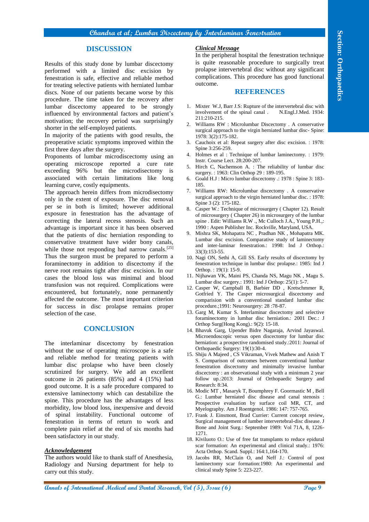#### **Chandra et al; Lumbar Discectomy by Interlaminar Fenestration**

## **DISCUSSION**

Results of this study done by lumbar discectomy performed with a limited disc excision by fenestration is safe, effective and reliable method for treating selective patients with herniated lumbar discs. None of our patients became worse by this procedure. The time taken for the recovery after lumbar discectomy appeared to be strongly influenced by environmental factors and patient's motivation; the recovery period was surprisingly shorter in the self-employed patients.

In majority of the patients with good results, the preoperative sciatic symptoms improved within the first three days after the surgery.

Proponents of lumbar microdiscectomy using an operating microscope reported a cure rate exceeding 96% but the microdisectomy is associated with certain limitations like long learning curve, costly equipments.

**Consider the effect of Page 100** Consider the **Consider Consider Consider the effect of Page 100** Consider the effect of Page 11 and Dental Research Consider the Consider the Consider Consider the Consider the Consider t The approach herein differs from microdisectomy only in the extent of exposure. The disc removal per se in both is limited; however additional exposure in fenestration has the advantage of correcting the lateral recess stenosis. Such an advantage is important since it has been observed that the patients of disc herniation responding to conservative treatment have wider bony canals, while those not responding had narrow canals.<sup>[25]</sup> Thus the surgeon must be prepared to perform a foraminectomy in addition to discectomy if the nerve root remains tight after disc excision. In our cases the blood loss was minimal and blood transfusion was not required. Complications were encountered, but fortunately, none permanently affected the outcome. The most important criterion for success in disc prolapse remains proper selection of the case.

## **CONCLUSION**

The interlaminar discectomy by fenestration without the use of operating microscope is a safe and reliable method for treating patients with lumbar disc prolapse who have been closely scrutinized for surgery. We add an excellent outcome in 26 patients (85%) and 4 (15%) had good outcome. It is a safe procedure compared to extensive laminectomy which can destabilize the spine. This procedure has the advantages of less morbidity, low blood loss, inexpensive and devoid of spinal instability. Functional outcome of fenestration in terms of return to work and complete pain relief at the end of six months had been satisfactory in our study.

#### *Acknowledgement*

The authors would like to thank staff of Anesthesia, Radiology and Nursing department for help to carry out this study.

## *Clinical Message*

In the peripheral hospital the fenestration technique is quite reasonable procedure to surgically treat prolapse intervertebral disc without any significant complications. This procedure has good functional outcome.

#### **REFERENCES**

- 1. Mixter W.J, Barr J.S: Rupture of the intervertebral disc with involvement of the spinal canal . N.Engl.J.Med. 1934: involvement of the spinal canal. 211:210-215.
- 2. Williams RW : Microlumbar Discectomy . A conservative surgical approach to the virgin herniated lumbar disc- Spine: 1978: 3(2):175-182.
- Cauchoix et al: Repeat surgery after disc excision. : 1978: Spine 3:256-259.
- 4. Holmes et al : Technique of lumbar laminectomy. : 1979: Instr. Course Lect. 28:200-207.
- 5. Hirch C, Nachemson A. : The reliability of lumbar disc surgery.: 1963: Clin Orthop 29: 189-195.
- 6. Goald H.J : Micro lumbar discectomy .: 1978 : Spine 3: 183- 185.
- 7. Williams RW: Microlumbar discectomy . A conservative surgical approach to the virgin herniated lumbar disc. : 1978: Spine 3 (2): 175-182.
- 8. Casper W.: Technique of microsurgery ( Chapter 12). Result of microsurgery ( Chapter 26) in microsurgery of the lumbar spine . Edit: Williams R.W ., Mc Culloch J.A., Young P.H.,: 1990 : Aspen Publisher Inc. Rockville, Maryland, USA.
- 9. Mishra SK, Mohapatra NC , Pradhan NK , Mohapatra MK. Lumbar disc excision. Comparative study of laminectomy and inter-laminar fenestration.: 1998: Ind J Orthop.: 33(3):153-55.
- 10. Nagi ON, Sethi A, Gill SS. Early results of discectomy by fenestration technique in lumbar disc prolapse.: 1985: Ind J Orthop. : 19(1): 15-9.
- 11. Nijhawan VK, Maini PS, Chanda NS, Magu NK , Magu S. Lumbar disc surgery.: 1991: Ind J Orthop: 25(1): 5-7.
- 12. Casper W, Campball B, Barbier DD , Kretschmmer R, Gotfried Y. The Casper microsurgical discectomy and comparision with a conventional standard lumbar disc procedure.;1991: Neurosurgery: 28 :78-87.
- 13. Garg M, Kumar S. Interlaminar discectomy and selective foraminectomy in lumbar disc herniation.: 2001 Dec.: J Orthop Surg(Hong Kong).: 9(2): 15-18.
- 14. Bhavuk Garg, Upender Bidre Nagaraja, Arvind Jayaswal. Microendoscopic versus open discectomy for lumbar disc herniation: a prospective randomised study.:2011: Journal of Orthopaedic Surgery: 19(1):30-4.
- 15. Shiju A Majeed , CS Vikraman, Vivek Mathew and Anish T S. Comparison of outcomes between conventional lumbar fenestration discectomy and minimally invasive lumbar discectomy : an observational study with a minimum 2 year follow up.:2013: Journal of Orthopaedic Surgery and Research: 8:34.
- 16. Modic MT , Masaryk T, Boumphrey F. Goormastic M , Bell G.: Lumbar herniated disc disease and canal stenosis Prospective evaluation by surface coil MR, CT, and Myelography. Am J Roentgenol. 1986: 147: 757-765.
- 17. Frank J. Einsmont, Brad Currier: Current concept review, Surgical management of lumber intervertebral-disc disease. J Bone and Joint Surg.: September 1989: Vol 71A, 8, 1226- 1271.
- 18. Kiviluoto O.: Use of free fat transplants to reduce epidural scar formation: An experimental and clinical study.: 1976: Acta Orthop. Scand. Suppl.: 164:1,164-170.
- 19. Jacobs RR, McClain O, and Neff J.: Control of post laminectomy scar formation:1980: An experimental and clinical study Spine 5: 223-227.